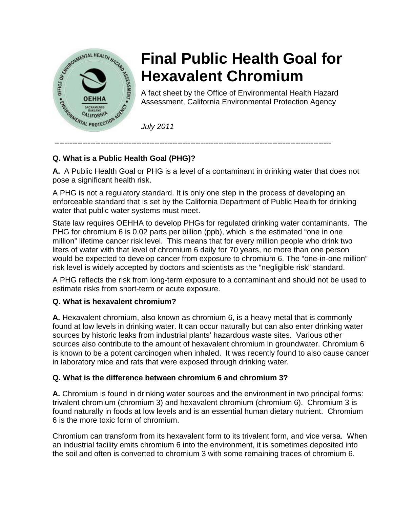

# **Final Public Health Goal for Hexavalent Chromium**

A fact sheet by the Office of Environmental Health Hazard Assessment, California Environmental Protection Agency

*July 2011*

## **Q. What is a Public Health Goal (PHG)?**

**A.** A Public Health Goal or PHG is a level of a contaminant in drinking water that does not pose a significant health risk.

------------------------------------------------------------------------------------------------------------

A PHG is not a regulatory standard. It is only one step in the process of developing an enforceable standard that is set by the California Department of Public Health for drinking water that public water systems must meet.

State law requires OEHHA to develop PHGs for regulated drinking water contaminants. The PHG for chromium 6 is 0.02 parts per billion (ppb), which is the estimated "one in one million" lifetime cancer risk level. This means that for every million people who drink two liters of water with that level of chromium 6 daily for 70 years, no more than one person would be expected to develop cancer from exposure to chromium 6. The "one-in-one million" risk level is widely accepted by doctors and scientists as the "negligible risk" standard.

A PHG reflects the risk from long-term exposure to a contaminant and should not be used to estimate risks from short-term or acute exposure.

## **Q. What is hexavalent chromium?**

**A.** Hexavalent chromium, also known as chromium 6, is a heavy metal that is commonly found at low levels in drinking water. It can occur naturally but can also enter drinking water sources by historic leaks from industrial plants' hazardous waste sites. Various other sources also contribute to the amount of hexavalent chromium in groundwater. Chromium 6 is known to be a potent carcinogen when inhaled. It was recently found to also cause cancer in laboratory mice and rats that were exposed through drinking water.

## **Q. What is the difference between chromium 6 and chromium 3?**

**A.** Chromium is found in drinking water sources and the environment in two principal forms: trivalent chromium (chromium 3) and hexavalent chromium (chromium 6). Chromium 3 is found naturally in foods at low levels and is an essential human dietary nutrient. Chromium 6 is the more toxic form of chromium.

Chromium can transform from its hexavalent form to its trivalent form, and vice versa. When an industrial facility emits chromium 6 into the environment, it is sometimes deposited into the soil and often is converted to chromium 3 with some remaining traces of chromium 6.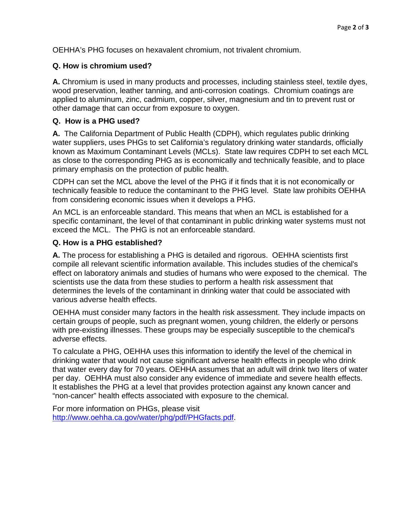OEHHA's PHG focuses on hexavalent chromium, not trivalent chromium.

#### **Q. How is chromium used?**

**A.** Chromium is used in many products and processes, including stainless steel, textile dyes, wood preservation, leather tanning, and anti-corrosion coatings. Chromium coatings are applied to aluminum, zinc, cadmium, copper, silver, magnesium and tin to prevent rust or other damage that can occur from exposure to oxygen.

#### **Q. How is a PHG used?**

**A.** The California Department of Public Health (CDPH), which regulates public drinking water suppliers, uses PHGs to set California's regulatory drinking water standards, officially known as Maximum Contaminant Levels (MCLs). State law requires CDPH to set each MCL as close to the corresponding PHG as is economically and technically feasible, and to place primary emphasis on the protection of public health.

CDPH can set the MCL above the level of the PHG if it finds that it is not economically or technically feasible to reduce the contaminant to the PHG level. State law prohibits OEHHA from considering economic issues when it develops a PHG.

An MCL is an enforceable standard. This means that when an MCL is established for a specific contaminant, the level of that contaminant in public drinking water systems must not exceed the MCL. The PHG is not an enforceable standard.

#### **Q. How is a PHG established?**

**A.** The process for establishing a PHG is detailed and rigorous. OEHHA scientists first compile all relevant scientific information available. This includes studies of the chemical's effect on laboratory animals and studies of humans who were exposed to the chemical. The scientists use the data from these studies to perform a health risk assessment that determines the levels of the contaminant in drinking water that could be associated with various adverse health effects.

OEHHA must consider many factors in the health risk assessment. They include impacts on certain groups of people, such as pregnant women, young children, the elderly or persons with pre-existing illnesses. These groups may be especially susceptible to the chemical's adverse effects.

To calculate a PHG, OEHHA uses this information to identify the level of the chemical in drinking water that would not cause significant adverse health effects in people who drink that water every day for 70 years. OEHHA assumes that an adult will drink two liters of water per day. OEHHA must also consider any evidence of immediate and severe health effects. It establishes the PHG at a level that provides protection against any known cancer and "non-cancer" health effects associated with exposure to the chemical.

For more information on PHGs, please visit [http://www.oehha.ca.gov/water/phg/pdf/PHGfacts.pdf.](http://www.oehha.ca.gov/water/phg/pdf/PHGfacts.pdf)